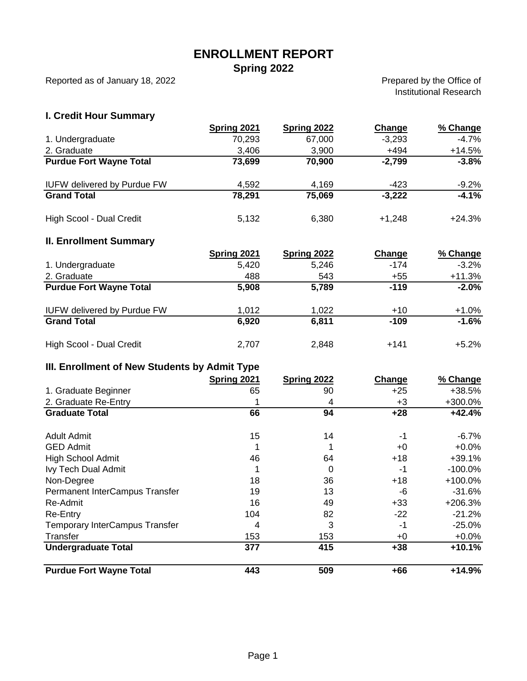## **ENROLLMENT REPORT**

**Spring 2022**

Reported as of January 18, 2022

Prepared by the Office of Institutional Research

### **I. Credit Hour Summary**

|                                    | Spring 2021 | Spring 2022 | Change   | % Change |
|------------------------------------|-------------|-------------|----------|----------|
| 1. Undergraduate                   | 70,293      | 67,000      | $-3,293$ | $-4.7%$  |
| 2. Graduate                        | 3,406       | 3,900       | $+494$   | $+14.5%$ |
| <b>Purdue Fort Wayne Total</b>     | 73,699      | 70,900      | $-2,799$ | $-3.8%$  |
| <b>IUFW delivered by Purdue FW</b> | 4,592       | 4,169       | -423     | $-9.2%$  |
| <b>Grand Total</b>                 | 78,291      | 75,069      | $-3,222$ | $-4.1%$  |
| High Scool - Dual Credit           | 5,132       | 6,380       | $+1,248$ | $+24.3%$ |

#### **II. Enrollment Summary**

|                                    | Spring 2021 | <b>Spring 2022</b> | Change | % Change |
|------------------------------------|-------------|--------------------|--------|----------|
| 1. Undergraduate                   | 5,420       | 5,246              | $-174$ | $-3.2%$  |
| 2. Graduate                        | 488         | 543                | $+55$  | $+11.3%$ |
| <b>Purdue Fort Wayne Total</b>     | 5,908       | 5,789              | $-119$ | $-2.0%$  |
| <b>IUFW delivered by Purdue FW</b> | 1,012       | 1,022              | $+10$  | $+1.0%$  |
| <b>Grand Total</b>                 | 6.920       | 6,811              | $-109$ | $-1.6%$  |
| High Scool - Dual Credit           | 2,707       | 2,848              | $+141$ | $+5.2%$  |

### **III. Enrollment of New Students by Admit Type**

|                                       | <b>Spring 2021</b> | Spring 2022 | <b>Change</b> | % Change   |
|---------------------------------------|--------------------|-------------|---------------|------------|
| 1. Graduate Beginner                  | 65                 | 90          | $+25$         | +38.5%     |
| 2. Graduate Re-Entry                  |                    | 4           | +3            | +300.0%    |
| <b>Graduate Total</b>                 | 66                 | 94          | $+28$         | $+42.4%$   |
| Adult Admit                           | 15                 | 14          | -1            | $-6.7\%$   |
| <b>GED Admit</b>                      |                    |             | +0            | $+0.0\%$   |
| <b>High School Admit</b>              | 46                 | 64          | $+18$         | $+39.1%$   |
| Ivy Tech Dual Admit                   |                    | 0           | -1            | $-100.0\%$ |
| Non-Degree                            | 18                 | 36          | $+18$         | $+100.0%$  |
| Permanent InterCampus Transfer        | 19                 | 13          | -6            | -31.6%     |
| Re-Admit                              | 16                 | 49          | $+33$         | +206.3%    |
| Re-Entry                              | 104                | 82          | $-22$         | $-21.2%$   |
| <b>Temporary InterCampus Transfer</b> | 4                  | 3           | -1            | -25.0%     |
| Transfer                              | 153                | 153         | +0            | $+0.0%$    |
| <b>Undergraduate Total</b>            | 377                | 415         | $+38$         | $+10.1%$   |
| <b>Purdue Fort Wayne Total</b>        | 443                | 509         | $+66$         | $+14.9%$   |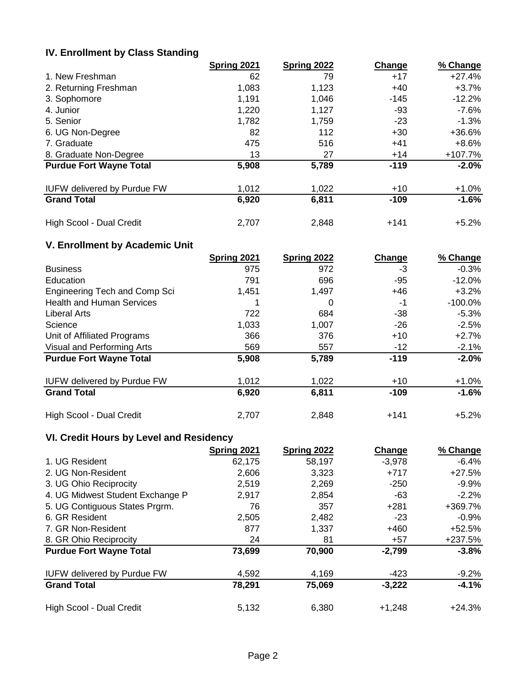## **IV. Enrollment by Class Standing**

|                                    | Spring 2021 | Spring 2022 | Change | % Change |
|------------------------------------|-------------|-------------|--------|----------|
| 1. New Freshman                    | 62          | 79          | $+17$  | $+27.4%$ |
| 2. Returning Freshman              | 1,083       | 1,123       | $+40$  | $+3.7%$  |
| 3. Sophomore                       | 1,191       | 1,046       | $-145$ | $-12.2%$ |
| 4. Junior                          | 1,220       | 1,127       | -93    | $-7.6\%$ |
| 5. Senior                          | 1,782       | 1,759       | $-23$  | $-1.3%$  |
| 6. UG Non-Degree                   | 82          | 112         | $+30$  | $+36.6%$ |
| 7. Graduate                        | 475         | 516         | $+41$  | +8.6%    |
| 8. Graduate Non-Degree             | 13          | 27          | $+14$  | +107.7%  |
| <b>Purdue Fort Wayne Total</b>     | 5,908       | 5,789       | $-119$ | $-2.0%$  |
| <b>IUFW delivered by Purdue FW</b> | 1,012       | 1,022       | $+10$  | $+1.0%$  |
| <b>Grand Total</b>                 | 6,920       | 6,811       | $-109$ | $-1.6%$  |
| High Scool - Dual Credit           | 2,707       | 2,848       | $+141$ | $+5.2%$  |

## **V. Enrollment by Academic Unit**

|                                    | Spring 2021 | Spring 2022 | Change | % Change |
|------------------------------------|-------------|-------------|--------|----------|
| <b>Business</b>                    | 975         | 972         | -3     | $-0.3%$  |
| Education                          | 791         | 696         | -95    | -12.0%   |
| Engineering Tech and Comp Sci      | 1,451       | 1,497       | $+46$  | $+3.2%$  |
| <b>Health and Human Services</b>   |             | 0           | -1     | -100.0%  |
| <b>Liberal Arts</b>                | 722         | 684         | $-38$  | $-5.3%$  |
| Science                            | 1,033       | 1,007       | $-26$  | $-2.5%$  |
| Unit of Affiliated Programs        | 366         | 376         | $+10$  | $+2.7%$  |
| Visual and Performing Arts         | 569         | 557         | $-12$  | $-2.1\%$ |
| <b>Purdue Fort Wayne Total</b>     | 5,908       | 5,789       | $-119$ | $-2.0%$  |
| <b>IUFW delivered by Purdue FW</b> | 1,012       | 1,022       | $+10$  | $+1.0%$  |
| <b>Grand Total</b>                 | 6,920       | 6,811       | $-109$ | $-1.6%$  |
| High Scool - Dual Credit           | 2,707       | 2,848       | $+141$ | $+5.2%$  |

# **VI. Credit Hours by Level and Residency**

|                                    | Spring 2021 | Spring 2022 | Change   | % Change |
|------------------------------------|-------------|-------------|----------|----------|
| 1. UG Resident                     | 62,175      | 58,197      | $-3,978$ | $-6.4%$  |
| 2. UG Non-Resident                 | 2,606       | 3,323       | $+717$   | $+27.5%$ |
| 3. UG Ohio Reciprocity             | 2,519       | 2,269       | $-250$   | $-9.9%$  |
| 4. UG Midwest Student Exchange P   | 2,917       | 2,854       | -63      | $-2.2%$  |
| 5. UG Contiguous States Prgrm.     | 76          | 357         | $+281$   | +369.7%  |
| 6. GR Resident                     | 2,505       | 2,482       | -23      | $-0.9\%$ |
| 7. GR Non-Resident                 | 877         | 1,337       | $+460$   | +52.5%   |
| 8. GR Ohio Reciprocity             | 24          | 81          | $+57$    | +237.5%  |
| <b>Purdue Fort Wayne Total</b>     | 73,699      | 70,900      | $-2,799$ | $-3.8%$  |
| <b>IUFW delivered by Purdue FW</b> | 4,592       | 4,169       | $-423$   | $-9.2%$  |
| <b>Grand Total</b>                 | 78,291      | 75,069      | $-3,222$ | $-4.1%$  |
| High Scool - Dual Credit           | 5,132       | 6,380       | $+1,248$ | $+24.3%$ |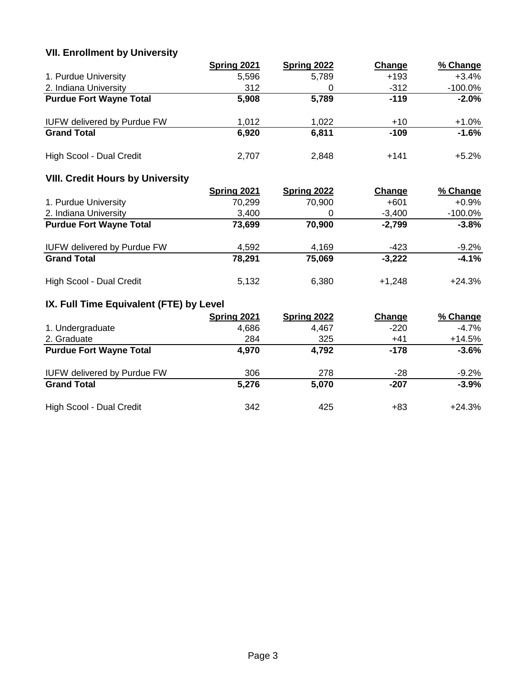# **VII. Enrollment by University**

|                                    | Spring 2021 | Spring 2022 | Change | % Change   |
|------------------------------------|-------------|-------------|--------|------------|
| 1. Purdue University               | 5,596       | 5,789       | $+193$ | +3.4%      |
| 2. Indiana University              | 312         |             | $-312$ | $-100.0\%$ |
| <b>Purdue Fort Wayne Total</b>     | 5,908       | 5,789       | $-119$ | $-2.0%$    |
| <b>IUFW delivered by Purdue FW</b> | 1,012       | 1,022       | $+10$  | $+1.0%$    |
| <b>Grand Total</b>                 | 6,920       | 6,811       | $-109$ | $-1.6%$    |
| High Scool - Dual Credit           | 2,707       | 2,848       | $+141$ | $+5.2%$    |

## **VIII. Credit Hours by University**

|                                    | <b>Spring 2021</b> | <b>Spring 2022</b> | Change   | % Change   |
|------------------------------------|--------------------|--------------------|----------|------------|
| 1. Purdue University               | 70,299             | 70,900             | $+601$   | $+0.9%$    |
| 2. Indiana University              | 3,400              |                    | $-3,400$ | $-100.0\%$ |
| <b>Purdue Fort Wayne Total</b>     | 73,699             | 70,900             | $-2,799$ | $-3.8%$    |
| <b>IUFW delivered by Purdue FW</b> | 4,592              | 4,169              | -423     | $-9.2%$    |
| <b>Grand Total</b>                 | 78,291             | 75,069             | $-3,222$ | $-4.1%$    |
| High Scool - Dual Credit           | 5,132              | 6,380              | $+1.248$ | $+24.3%$   |

# **IX. Full Time Equivalent (FTE) by Level**

|                                    | Spring 2021 | Spring 2022 | Change | % Change |
|------------------------------------|-------------|-------------|--------|----------|
| 1. Undergraduate                   | 4,686       | 4,467       | $-220$ | $-4.7%$  |
| 2. Graduate                        | 284         | 325         | $+41$  | $+14.5%$ |
| <b>Purdue Fort Wayne Total</b>     | 4,970       | 4,792       | $-178$ | $-3.6%$  |
| <b>IUFW delivered by Purdue FW</b> | 306         | 278         | $-28$  | $-9.2%$  |
| <b>Grand Total</b>                 | 5,276       | 5,070       | $-207$ | $-3.9%$  |
| High Scool - Dual Credit           | 342         | 425         | +83    | $+24.3%$ |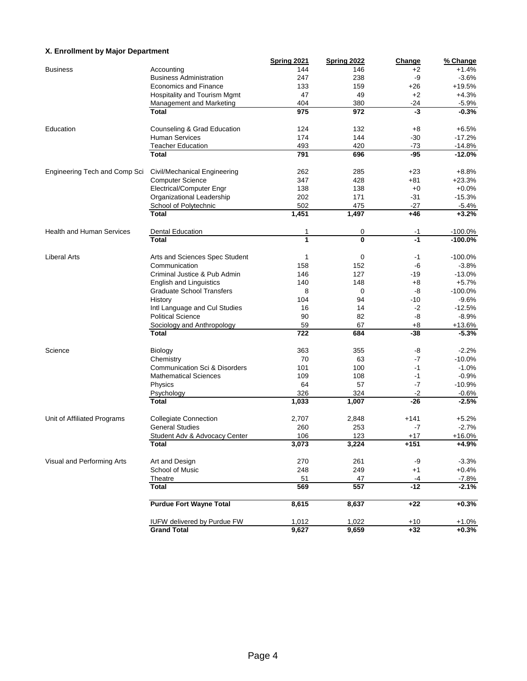### **X. Enrollment by Major Department**

|                                  |                                          | Spring 2021 | Spring 2022 | Change | % Change  |
|----------------------------------|------------------------------------------|-------------|-------------|--------|-----------|
| <b>Business</b>                  | Accounting                               | 144         | 146         | +2     | $+1.4%$   |
|                                  | <b>Business Administration</b>           | 247         | 238         | -9     | $-3.6%$   |
|                                  | <b>Economics and Finance</b>             | 133         | 159         | $+26$  | +19.5%    |
|                                  | Hospitality and Tourism Mgmt             | 47          | 49          | $+2$   | $+4.3%$   |
|                                  | <b>Management and Marketing</b>          | 404         | 380         | -24    | $-5.9%$   |
|                                  | <b>Total</b>                             | 975         | 972         | -3     | $-0.3%$   |
| Education                        | Counseling & Grad Education              | 124         | 132         | +8     | $+6.5%$   |
|                                  | <b>Human Services</b>                    | 174         | 144         | $-30$  | $-17.2%$  |
|                                  | <b>Teacher Education</b>                 | 493         | 420         | -73    | $-14.8%$  |
|                                  | <b>Total</b>                             | 791         | 696         | $-95$  | $-12.0%$  |
| Engineering Tech and Comp Sci    | Civil/Mechanical Engineering             | 262         | 285         | $+23$  | $+8.8%$   |
|                                  | <b>Computer Science</b>                  | 347         | 428         | +81    | $+23.3%$  |
|                                  | Electrical/Computer Engr                 | 138         | 138         | $+0$   | $+0.0%$   |
|                                  | Organizational Leadership                | 202         | 171         | $-31$  | $-15.3%$  |
|                                  | School of Polytechnic                    | 502         | 475         | $-27$  | $-5.4%$   |
|                                  | <b>Total</b>                             | 1,451       | 1,497       | $+46$  | $+3.2%$   |
| <b>Health and Human Services</b> | <b>Dental Education</b>                  | 1           | 0           | -1     | $-100.0%$ |
|                                  | <b>Total</b>                             | 1           | $\bf{0}$    | $-1$   | $-100.0%$ |
| <b>Liberal Arts</b>              | Arts and Sciences Spec Student           | 1           | 0           | -1     | $-100.0%$ |
|                                  | Communication                            | 158         | 152         | -6     | $-3.8%$   |
|                                  | Criminal Justice & Pub Admin             | 146         | 127         | $-19$  | $-13.0%$  |
|                                  | <b>English and Linguistics</b>           | 140         | 148         | +8     | $+5.7%$   |
|                                  | <b>Graduate School Transfers</b>         | 8           | 0           | -8     | $-100.0%$ |
|                                  | History                                  | 104         | 94          | $-10$  | $-9.6%$   |
|                                  | Intl Language and Cul Studies            | 16          | 14          | $-2$   | $-12.5%$  |
|                                  | <b>Political Science</b>                 | 90          | 82          | -8     | $-8.9%$   |
|                                  | Sociology and Anthropology               | 59          | 67          | $+8$   | $+13.6%$  |
|                                  | <b>Total</b>                             | 722         | 684         | $-38$  | $-5.3%$   |
| Science                          | Biology                                  | 363         | 355         | -8     | $-2.2%$   |
|                                  | Chemistry                                | 70          | 63          | $-7$   | $-10.0%$  |
|                                  | <b>Communication Sci &amp; Disorders</b> | 101         | 100         | -1     | $-1.0%$   |
|                                  | <b>Mathematical Sciences</b>             | 109         | 108         | -1     | $-0.9%$   |
|                                  | Physics                                  | 64          | 57          | $-7$   | $-10.9%$  |
|                                  | Psychology                               | 326         | 324         | -2     | $-0.6%$   |
|                                  | <b>Total</b>                             | 1,033       | 1,007       | $-26$  | $-2.5%$   |
| Unit of Affiliated Programs      | <b>Collegiate Connection</b>             | 2,707       | 2,848       | $+141$ | $+5.2%$   |
|                                  | <b>General Studies</b>                   | 260         | 253         | $-7$   | $-2.7%$   |
|                                  | Student Adv & Advocacy Center            | 106         | 123         | $+17$  | $+16.0%$  |
|                                  | I otal                                   | 3,073       | 3,224       | $+151$ | $+4.9%$   |
| Visual and Performing Arts       | Art and Design                           | 270         | 261         | -9     | $-3.3%$   |
|                                  | School of Music                          | 248         | 249         | $+1$   | $+0.4%$   |
|                                  | Theatre                                  | 51          | 47          | $-4$   | $-7.8%$   |
|                                  | <b>Total</b>                             | 569         | 557         | $-12$  | $-2.1%$   |
|                                  | <b>Purdue Fort Wayne Total</b>           | 8,615       | 8,637       | $+22$  | $+0.3%$   |
|                                  | <b>IUFW delivered by Purdue FW</b>       | 1,012       | 1,022       | $+10$  | $+1.0%$   |
|                                  | <b>Grand Total</b>                       | 9,627       | 9,659       | $+32$  | $+0.3%$   |